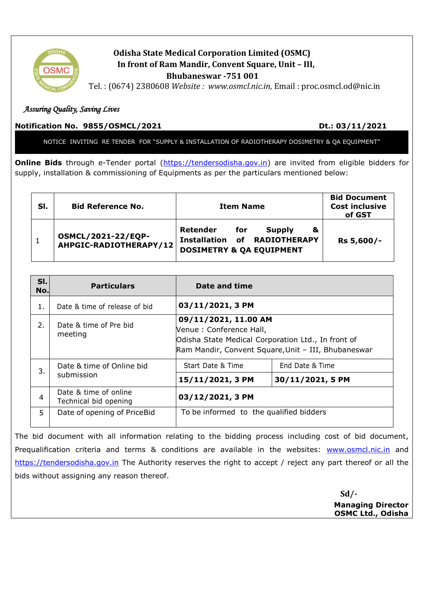

## **Odisha State Medical Corporation Limited (OSMC) In front of Ram Mandir, Convent Square, Unit – III, Bhubaneswar -751 001**

Tel. : (0674) 2380608 *Website : www.osmcl.nic.in,* Email : proc.osmcl.od@nic.in

## *Assuring Quality, Saving Lives*

## **Notification No. 9855/OSMCL/2021 Dt.: 03/11/2021**

NOTICE INVITING RE TENDER FOR "SUPPLY & INSTALLATION OF RADIOTHERAPY DOSIMETRY & QA EQUIPMENT"

**Online Bids** through e-Tender portal [\(https://tendersodisha.gov.in\)](https://tendersodisha.gov.in/) are invited from eligible bidders for supply, installation & commissioning of Equipments as per the particulars mentioned below:

| SI. | <b>Bid Reference No.</b>                            | <b>Item Name</b>                                                                                                    | <b>Bid Document</b><br><b>Cost inclusive</b><br>of GST |
|-----|-----------------------------------------------------|---------------------------------------------------------------------------------------------------------------------|--------------------------------------------------------|
|     | <b>OSMCL/2021-22/EQP-</b><br>AHPGIC-RADIOTHERAPY/12 | Retender<br><b>Supply</b><br>for<br>&<br><b>Installation of RADIOTHERAPY</b><br><b>DOSIMETRY &amp; QA EQUIPMENT</b> | Rs 5,600/-                                             |

| SI.<br>No. | <b>Particulars</b>                             | Date and time                                                                                                                                                |                  |
|------------|------------------------------------------------|--------------------------------------------------------------------------------------------------------------------------------------------------------------|------------------|
| 1.         | Date & time of release of bid                  | 03/11/2021, 3 PM                                                                                                                                             |                  |
| 2.         | Date & time of Pre bid<br>meeting              | 09/11/2021, 11.00 AM<br>Venue: Conference Hall,<br>Odisha State Medical Corporation Ltd., In front of<br>Ram Mandir, Convent Square, Unit - III, Bhubaneswar |                  |
| 3.         | Date & time of Online bid<br>submission        | Start Date & Time                                                                                                                                            | End Date & Time  |
|            |                                                | 15/11/2021, 3 PM                                                                                                                                             | 30/11/2021, 5 PM |
| 4          | Date & time of online<br>Technical bid opening | 03/12/2021, 3 PM                                                                                                                                             |                  |
| 5.         | Date of opening of PriceBid                    | To be informed to the qualified bidders                                                                                                                      |                  |

The bid document with all information relating to the bidding process including cost of bid document, Prequalification criteria and terms & conditions are available in the websites: [www.osmcl.nic.in](http://www.osmcl.nic.in/) and [https://tendersodisha.gov.in](https://tendersodisha.gov.in/) The Authority reserves the right to accept / reject any part thereof or all the bids without assigning any reason thereof.

 **Sd/- Managing Director OSMC Ltd., Odisha**